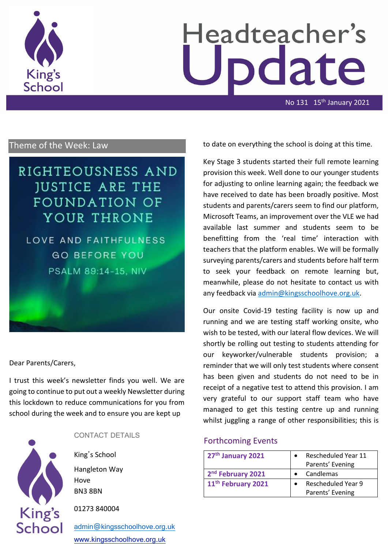

# Headteacher's date

No 131 15th January 2021

# Theme of the Week: Law

# RIGHTEOUSNESS AND **JUSTICE ARE THE** FOUNDATION OF YOUR THRONE

LOVE AND FAITHFULNESS **GO BEFORE YOU** PSALM 89:14-15, NIV

Dear Parents/Carers,

I trust this week's newsletter finds you well. We are going to continue to put out a weekly Newsletter during this lockdown to reduce communications for you from school during the week and to ensure you are kept up



## CONTACT DETAILS

King's School Hangleton Way Hove BN3 8BN

01273 840004

[admin@kingsschoolhove.org.uk](mailto:admin@kingsschoolhove.org.uk) [www.kingsschoolhove.org.uk](http://www.kingsschoolhove.org.uk/)

to date on everything the school is doing at this time.

Key Stage 3 students started their full remote learning provision this week. Well done to our younger students for adjusting to online learning again; the feedback we have received to date has been broadly positive. Most students and parents/carers seem to find our platform, Microsoft Teams, an improvement over the VLE we had available last summer and students seem to be benefitting from the 'real time' interaction with teachers that the platform enables. We will be formally surveying parents/carers and students before half term to seek your feedback on remote learning but, meanwhile, please do not hesitate to contact us with any feedback via [admin@kingsschoolhove.org.uk.](mailto:admin@kingsschoolhove.org.uk)

Our onsite Covid-19 testing facility is now up and running and we are testing staff working onsite, who wish to be tested, with our lateral flow devices. We will shortly be rolling out testing to students attending for our keyworker/vulnerable students provision; a reminder that we will only test students where consent has been given and students do not need to be in receipt of a negative test to attend this provision. I am very grateful to our support staff team who have managed to get this testing centre up and running whilst juggling a range of other responsibilities; this is

# Forthcoming Events

| 27th January 2021              | <b>Rescheduled Year 11</b><br>Parents' Evening |  |
|--------------------------------|------------------------------------------------|--|
| 2 <sup>nd</sup> February 2021  | Candlemas                                      |  |
| 11 <sup>th</sup> February 2021 | Rescheduled Year 9<br>Parents' Evening         |  |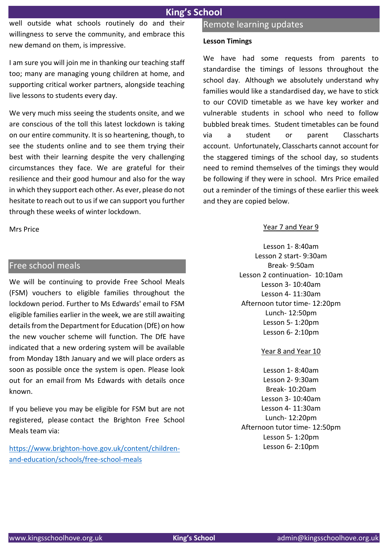well outside what schools routinely do and their willingness to serve the community, and embrace this new demand on them, is impressive.

I am sure you will join me in thanking our teaching staff too; many are managing young children at home, and supporting critical worker partners, alongside teaching live lessons to students every day.

We very much miss seeing the students onsite, and we are conscious of the toll this latest lockdown is taking on our entire community. It is so heartening, though, to see the students online and to see them trying their best with their learning despite the very challenging circumstances they face. We are grateful for their resilience and their good humour and also for the way in which they support each other. As ever, please do not hesitate to reach out to us if we can support you further through these weeks of winter lockdown.

Mrs Price

## Free school meals

We will be continuing to provide Free School Meals (FSM) vouchers to eligible families throughout the lockdown period. Further to Ms Edwards' email to FSM eligible families earlier in the week, we are still awaiting details from the Department for Education (DfE) on how the new voucher scheme will function. The DfE have indicated that a new ordering system will be available from Monday 18th January and we will place orders as soon as possible once the system is open. Please look out for an email from Ms Edwards with details once known.

If you believe you may be eligible for FSM but are not registered, please contact the Brighton Free School Meals team via:

[https://www.brighton-hove.gov.uk/content/children](https://www.brighton-hove.gov.uk/content/children-and-education/schools/free-school-meals)[and-education/schools/free-school-meals](https://www.brighton-hove.gov.uk/content/children-and-education/schools/free-school-meals)

# Remote learning updates

#### **Lesson Timings**

We have had some requests from parents to standardise the timings of lessons throughout the school day. Although we absolutely understand why families would like a standardised day, we have to stick to our COVID timetable as we have key worker and vulnerable students in school who need to follow bubbled break times. Student timetables can be found via a student or parent Classcharts account. Unfortunately, Classcharts cannot account for the staggered timings of the school day, so students need to remind themselves of the timings they would be following if they were in school. Mrs Price emailed out a reminder of the timings of these earlier this week and they are copied below.

#### Year 7 and Year 9

Lesson 1- 8:40am Lesson 2 start- 9:30am Break- 9:50am Lesson 2 continuation- 10:10am Lesson 3- 10:40am Lesson 4- 11:30am Afternoon tutor time- 12:20pm Lunch- 12:50pm Lesson 5- 1:20pm Lesson 6- 2:10pm

#### Year 8 and Year 10

Lesson 1- 8:40am Lesson 2- 9:30am Break- 10:20am Lesson 3- 10:40am Lesson 4- 11:30am Lunch- 12:20pm Afternoon tutor time- 12:50pm Lesson 5- 1:20pm Lesson 6- 2:10pm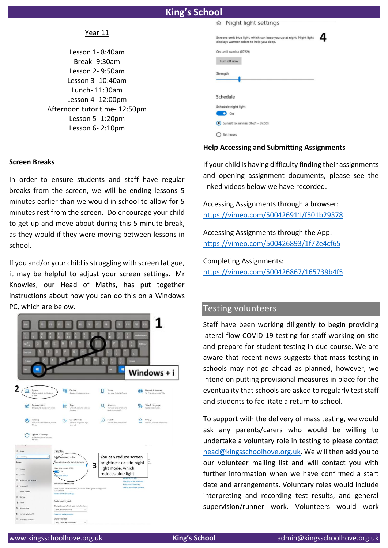# **King's School**

#### Year 11

Lesson 1- 8:40am Break- 9:30am Lesson 2- 9:50am Lesson 3- 10:40am Lunch- 11:30am Lesson 4- 12:00pm Afternoon tutor time- 12:50pm Lesson 5- 1:20pm Lesson 6- 2:10pm

# @ Night light settings

|                          | Screens emit blue light, which can keep you up at night. Night light<br>displays warmer colors to help you sleep. |
|--------------------------|-------------------------------------------------------------------------------------------------------------------|
| On until sunrise (07:59) |                                                                                                                   |
| Turn off now             |                                                                                                                   |
| Strength                 |                                                                                                                   |
|                          |                                                                                                                   |
| Schedule                 |                                                                                                                   |
| Schedule night light     |                                                                                                                   |
| On                       |                                                                                                                   |
|                          | Sunset to sunrise (16:21 - 07:59)                                                                                 |
| Set hours                |                                                                                                                   |

#### **Help Accessing and Submitting Assignments**

If your child is having difficulty finding their assignments and opening assignment documents, please see the linked videos below we have recorded.

Accessing Assignments through a browser: <https://vimeo.com/500426911/f501b29378>

Accessing Assignments through the App: <https://vimeo.com/500426893/1f72e4cf65>

Completing Assignments: <https://vimeo.com/500426867/165739b4f5>

## Testing volunteers

Staff have been working diligently to begin providing lateral flow COVID 19 testing for staff working on site and prepare for student testing in due course. We are aware that recent news suggests that mass testing in schools may not go ahead as planned, however, we intend on putting provisional measures in place for the eventuality that schools are asked to regularly test staff and students to facilitate a return to school.

To support with the delivery of mass testing, we would ask any parents/carers who would be willing to undertake a voluntary role in testing to please contact [head@kingsschoolhove.org.uk.](mailto:head@kingsschoolhove.org.uk) We will then add you to our volunteer mailing list and will contact you with further information when we have confirmed a start date and arrangements. Voluntary roles would include interpreting and recording test results, and general supervision/runner work. Volunteers would work

#### **Screen Breaks**

In order to ensure students and staff have regular breaks from the screen, we will be ending lessons 5 minutes earlier than we would in school to allow for 5 minutes rest from the screen. Do encourage your child to get up and move about during this 5 minute break, as they would if they were moving between lessons in school.

If you and/or your child is struggling with screen fatigue, it may be helpful to adjust your screen settings. Mr Knowles, our Head of Maths, has put together instructions about how you can do this on a Windows PC, which are below.

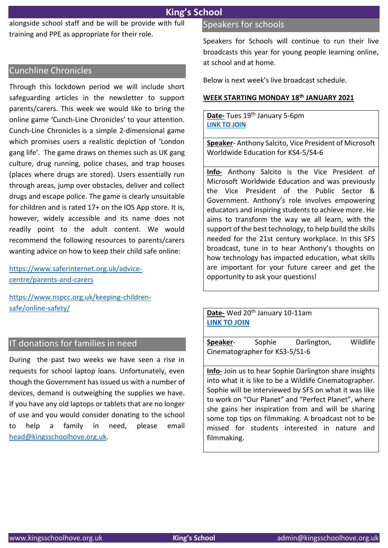alongside school staff and be will be provide with full training and PPE as appropriate for their role.

# Cunchline Chronicles

Through this lockdown period we will include short safeguarding articles in the newsletter to support parents/carers. This week we would like to bring the online game 'Cunch-Line Chronicles' to your attention. Cunch-Line Chronicles is a simple 2-dimensional game which promises users a realistic depiction of 'London gang life'. The game draws on themes such as UK gang culture, drug running, police chases, and trap houses (places where drugs are stored). Users essentially run through areas, jump over obstacles, deliver and collect drugs and escape police. The game is clearly unsuitable for children and is rated 17+ on the IOS App store. It is, however, widely accessible and its name does not readily point to the adult content. We would recommend the following resources to parents/carers wanting advice on how to keep their child safe online:

[https://www.saferinternet.org.uk/advice](https://www.saferinternet.org.uk/advice-centre/parents-and-carers)[centre/parents-and-carers](https://www.saferinternet.org.uk/advice-centre/parents-and-carers)

[https://www.nspcc.org.uk/keeping-children](https://www.nspcc.org.uk/keeping-children-safe/online-safety/)[safe/online-safety/](https://www.nspcc.org.uk/keeping-children-safe/online-safety/)

# IT donations for families in need

During the past two weeks we have seen a rise in requests for school laptop loans. Unfortunately, even though the Government has issued us with a number of devices, demand is outweighing the supplies we have. If you have any old laptops or tablets that are no longer of use and you would consider donating to the school to help a family in need, please email [head@kingsschoolhove.org.uk.](mailto:head@kingsschoolhove.org.uk)

# Speakers for schools

Speakers for Schools will continue to run their live broadcasts this year for young people learning online, at school and at home.

Below is next week's live broadcast schedule.

## **WEEK STARTING MONDAY 18th JANUARY 2021**

Date- Tues 19<sup>th</sup> January 5-6pm **[LINK TO JOIN](https://teams.microsoft.com/dl/launcher/launcher.html?url=%2F_%23%2Fl%2Fmeetup-join%2F19%3Ameeting_ODdlZDBhMDAtZDYwZi00NjRlLWI5NGEtODJjOGNlOWJhZTEw%40thread.v2%2F0%3Fcontext%3D%257B%2522Tid%2522%3A%25222ea15a1c-f28e-4630-a1bf-d7454cb44eeb%2522%2C%2522Oid%2522%3A%25223ce4d792-ba5b-4f61-b07b-10d58d1f4fdc%2522%2C%2522IsBroadcastMeeting%2522%3Atrue%257D%26anon%3Dtrue&type=meetup-join&deeplinkId=a9869c11-95b6-4c30-aef5-a418ceb780e0&directDl=true&msLaunch=true&enableMobilePage=true&suppressPrompt=true)**

**Speaker**- Anthony Salcito, Vice President of Microsoft Worldwide Education for KS4-5/S4-6

**Info-** Anthony Salcito is the Vice President of Microsoft Worldwide Education and was previously the Vice President of the Public Sector & Government. Anthony's role involves empowering educators and inspiring students to achieve more. He aims to transform the way we all learn, with the support of the best technology, to help build the skills needed for the 21st century workplace. In this SFS broadcast, tune in to hear Anthony's thoughts on how technology has impacted education, what skills are important for your future career and get the opportunity to ask your questions!

# Date- Wed 20<sup>th</sup> January 10-11am **[LINK TO JOIN](https://teams.microsoft.com/_#/l/meetup-join/19:meeting_NzJmNGYyNmMtYThhMi00YzE5LTgwYTktZGY2MzUwOGFlZWU1@thread.v2/0?context=%7B%22Tid%22:%222ea15a1c-f28e-4630-a1bf-d7454cb44eeb%22,%22Oid%22:%225bb5d397-c5e9-494e-bb0e-41fb43a1a7c4%22,%22IsBroadcastMeeting%22:true%7D&anon=true&deeplink)**

**Speaker**- Sophie Darlington, Wildlife Cinematographer for KS3-5/S1-6

**Info-** Join us to hear Sophie Darlington share insights into what it is like to be a Wildlife Cinematographer. Sophie will be interviewed by SFS on what it was like to work on "Our Planet" and "Perfect Planet", where she gains her inspiration from and will be sharing some top tips on filmmaking. A broadcast not to be missed for students interested in nature and filmmaking.